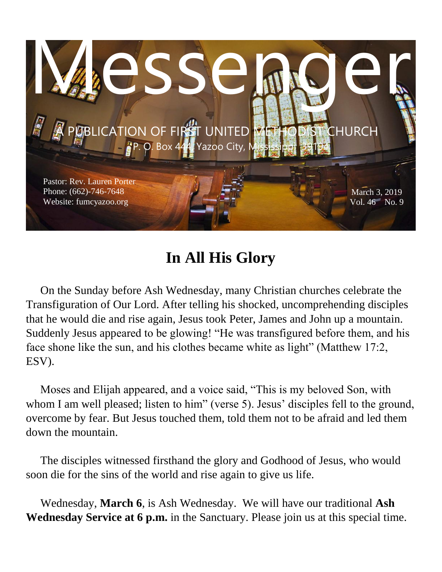

## **In All His Glory**

 On the Sunday before Ash Wednesday, many Christian churches celebrate the Transfiguration of Our Lord. After telling his shocked, uncomprehending disciples that he would die and rise again, Jesus took Peter, James and John up a mountain. Suddenly Jesus appeared to be glowing! "He was transfigured before them, and his face shone like the sun, and his clothes became white as light" (Matthew 17:2, ESV).

 Moses and Elijah appeared, and a voice said, "This is my beloved Son, with whom I am well pleased; listen to him" (verse 5). Jesus' disciples fell to the ground, overcome by fear. But Jesus touched them, told them not to be afraid and led them down the mountain.

 The disciples witnessed firsthand the glory and Godhood of Jesus, who would soon die for the sins of the world and rise again to give us life.

 Wednesday, **March 6**, is Ash Wednesday. We will have our traditional **Ash Wednesday Service at 6 p.m.** in the Sanctuary. Please join us at this special time.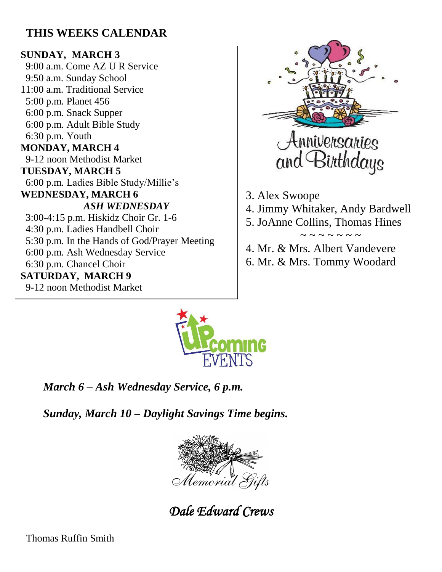### **THIS WEEKS CALENDAR**

#### **SUNDAY, MARCH 3**

 9:00 a.m. Come AZ U R Service 9:50 a.m. Sunday School 11:00 a.m. Traditional Service 5:00 p.m. Planet 456 6:00 p.m. Snack Supper 6:00 p.m. Adult Bible Study 6:30 p.m. Youth **MONDAY, MARCH 4** 9-12 noon Methodist Market **TUESDAY, MARCH 5** 6:00 p.m. Ladies Bible Study/Millie's **WEDNESDAY, MARCH 6** *ASH WEDNESDAY* 3:00-4:15 p.m. Hiskidz Choir Gr. 1-6 4:30 p.m. Ladies Handbell Choir 5:30 p.m. In the Hands of God/Prayer Meeting 6:00 p.m. Ash Wednesday Service 6:30 p.m. Chancel Choir **SATURDAY, MARCH 9** 9-12 noon Methodist Market



3. Alex Swoope 4. Jimmy Whitaker, Andy Bardwell 5. JoAnne Collins, Thomas Hines  $\sim$  ~ ~ ~ ~ ~ ~

4. Mr. & Mrs. Albert Vandevere 6. Mr. & Mrs. Tommy Woodard



 *March 6 – Ash Wednesday Service, 6 p.m.*

 *Sunday, March 10 – Daylight Savings Time begins.*



*Dale Edward Crews* 

Thomas Ruffin Smith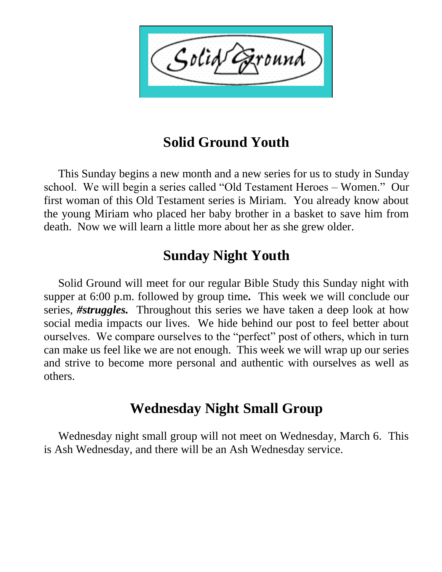$\zeta$ olid $\sqrt{ }$ ound

### **Solid Ground Youth**

 This Sunday begins a new month and a new series for us to study in Sunday school. We will begin a series called "Old Testament Heroes – Women." Our first woman of this Old Testament series is Miriam. You already know about the young Miriam who placed her baby brother in a basket to save him from death. Now we will learn a little more about her as she grew older.

### **Sunday Night Youth**

 Solid Ground will meet for our regular Bible Study this Sunday night with supper at 6:00 p.m. followed by group time*.* This week we will conclude our series, *#struggles.* Throughout this series we have taken a deep look at how social media impacts our lives. We hide behind our post to feel better about ourselves. We compare ourselves to the "perfect" post of others, which in turn can make us feel like we are not enough. This week we will wrap up our series and strive to become more personal and authentic with ourselves as well as others.

### **Wednesday Night Small Group**

 Wednesday night small group will not meet on Wednesday, March 6. This is Ash Wednesday, and there will be an Ash Wednesday service.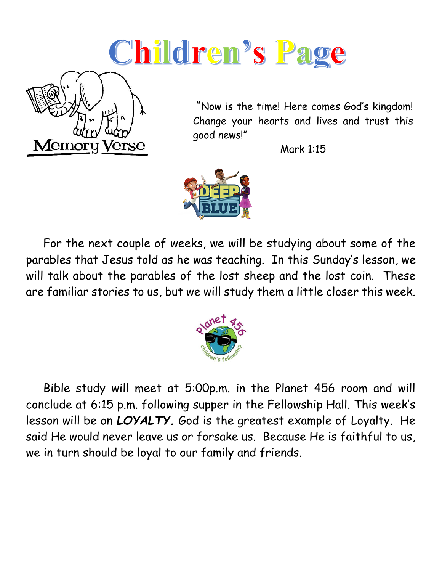# Children's Page



"Now is the time! Here comes God's kingdom! Change your hearts and lives and trust this good news!"

Mark 1:15



 For the next couple of weeks, we will be studying about some of the parables that Jesus told as he was teaching. In this Sunday's lesson, we will talk about the parables of the lost sheep and the lost coin. These are familiar stories to us, but we will study them a little closer this week.



 Bible study will meet at 5:00p.m. in the Planet 456 room and will conclude at 6:15 p.m. following supper in the Fellowship Hall. This week's lesson will be on *LOYALTY.* God is the greatest example of Loyalty. He said He would never leave us or forsake us. Because He is faithful to us, we in turn should be loyal to our family and friends.